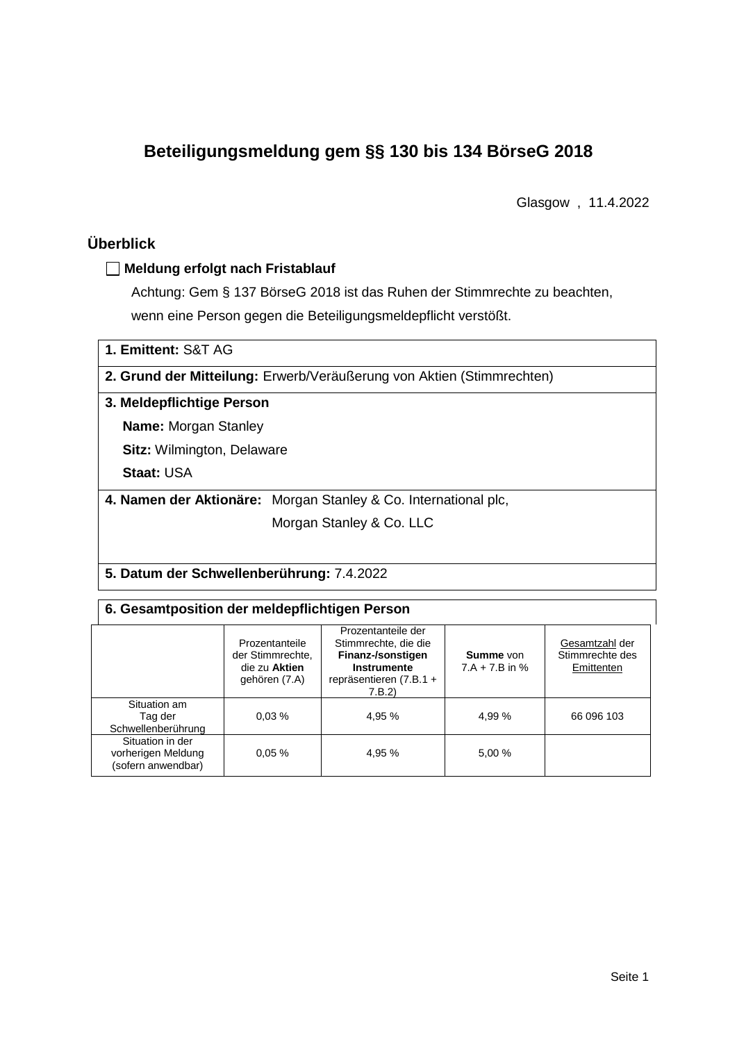# **Beteiligungsmeldung gem §§ 130 bis 134 BörseG 2018**

Glasgow , 11.4.2022

# **Überblick**

## **Meldung erfolgt nach Fristablauf**

Achtung: Gem § 137 BörseG 2018 ist das Ruhen der Stimmrechte zu beachten, wenn eine Person gegen die Beteiligungsmeldepflicht verstößt.

| 1. Emittent: S&T AG                      |                                                                       |  |  |  |  |
|------------------------------------------|-----------------------------------------------------------------------|--|--|--|--|
|                                          | 2. Grund der Mitteilung: Erwerb/Veräußerung von Aktien (Stimmrechten) |  |  |  |  |
| 3. Meldepflichtige Person                |                                                                       |  |  |  |  |
| <b>Name:</b> Morgan Stanley              |                                                                       |  |  |  |  |
| <b>Sitz:</b> Wilmington, Delaware        |                                                                       |  |  |  |  |
| <b>Staat: USA</b>                        |                                                                       |  |  |  |  |
|                                          | 4. Namen der Aktionäre: Morgan Stanley & Co. International plc,       |  |  |  |  |
|                                          | Morgan Stanley & Co. LLC                                              |  |  |  |  |
|                                          |                                                                       |  |  |  |  |
| 5 Datum der Schwellenherührung: 7 4 2022 |                                                                       |  |  |  |  |

## **5. Datum der Schwellenberührung:** 7.4.2022

### **6. Gesamtposition der meldepflichtigen Person**

|                                                              | Prozentanteile<br>der Stimmrechte.<br>die zu Aktien<br>gehören (7.A) | Prozentanteile der<br>Stimmrechte, die die<br>Finanz-/sonstigen<br>Instrumente<br>repräsentieren (7.B.1 +<br>7.B.2 | <b>Summe</b> von<br>$7.A + 7.B$ in % | Gesamtzahl der<br>Stimmrechte des<br>Emittenten |
|--------------------------------------------------------------|----------------------------------------------------------------------|--------------------------------------------------------------------------------------------------------------------|--------------------------------------|-------------------------------------------------|
| Situation am<br>Tag der<br>Schwellenberührung                | 0.03%                                                                | 4,95 %                                                                                                             | 4.99 %                               | 66 096 103                                      |
| Situation in der<br>vorherigen Meldung<br>(sofern anwendbar) | 0.05%                                                                | 4,95 %                                                                                                             | 5.00 %                               |                                                 |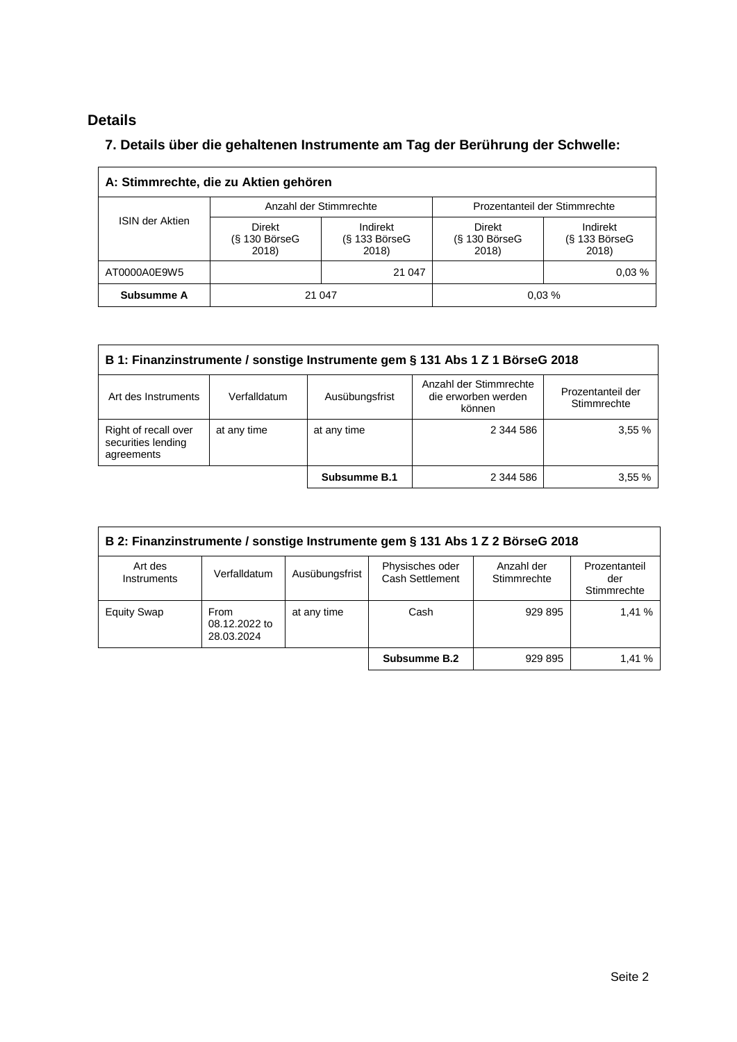# **Details**

## **7. Details über die gehaltenen Instrumente am Tag der Berührung der Schwelle:**

| A: Stimmrechte, die zu Aktien gehören |                                    |                                      |                                           |                                      |  |  |
|---------------------------------------|------------------------------------|--------------------------------------|-------------------------------------------|--------------------------------------|--|--|
|                                       |                                    | Anzahl der Stimmrechte               | Prozentanteil der Stimmrechte             |                                      |  |  |
| <b>ISIN der Aktien</b>                | Direkt<br>$(S$ 130 BörseG<br>2018) | Indirekt<br>$(S$ 133 BörseG<br>2018) | <b>Direkt</b><br>$(S$ 130 BörseG<br>2018) | Indirekt<br>$(S$ 133 BörseG<br>2018) |  |  |
| AT0000A0E9W5                          |                                    | 21 047                               |                                           | 0.03%                                |  |  |
| Subsumme A                            | 21 047                             |                                      |                                           | 0.03%                                |  |  |

| B 1: Finanzinstrumente / sonstige Instrumente gem § 131 Abs 1 Z 1 BörseG 2018                                                                        |             |              |           |       |  |
|------------------------------------------------------------------------------------------------------------------------------------------------------|-------------|--------------|-----------|-------|--|
| Anzahl der Stimmrechte<br>Prozentanteil der<br>die erworben werden<br>Ausübungsfrist<br>Verfalldatum<br>Art des Instruments<br>Stimmrechte<br>können |             |              |           |       |  |
| Right of recall over<br>securities lending<br>agreements                                                                                             | at any time | at any time  | 2 344 586 | 3,55% |  |
|                                                                                                                                                      |             | Subsumme B.1 | 2 344 586 | 3.55% |  |

| B 2: Finanzinstrumente / sonstige Instrumente gem § 131 Abs 1 Z 2 BörseG 2018 |                                     |                |                                    |                           |                                     |  |
|-------------------------------------------------------------------------------|-------------------------------------|----------------|------------------------------------|---------------------------|-------------------------------------|--|
| Art des<br><b>Instruments</b>                                                 | Verfalldatum                        | Ausübungsfrist | Physisches oder<br>Cash Settlement | Anzahl der<br>Stimmrechte | Prozentanteil<br>der<br>Stimmrechte |  |
| <b>Equity Swap</b>                                                            | From<br>08.12.2022 to<br>28.03.2024 | at any time    | Cash                               | 929 895                   | 1.41 %                              |  |
|                                                                               |                                     |                | Subsumme B.2                       | 929 895                   | 1,41 %                              |  |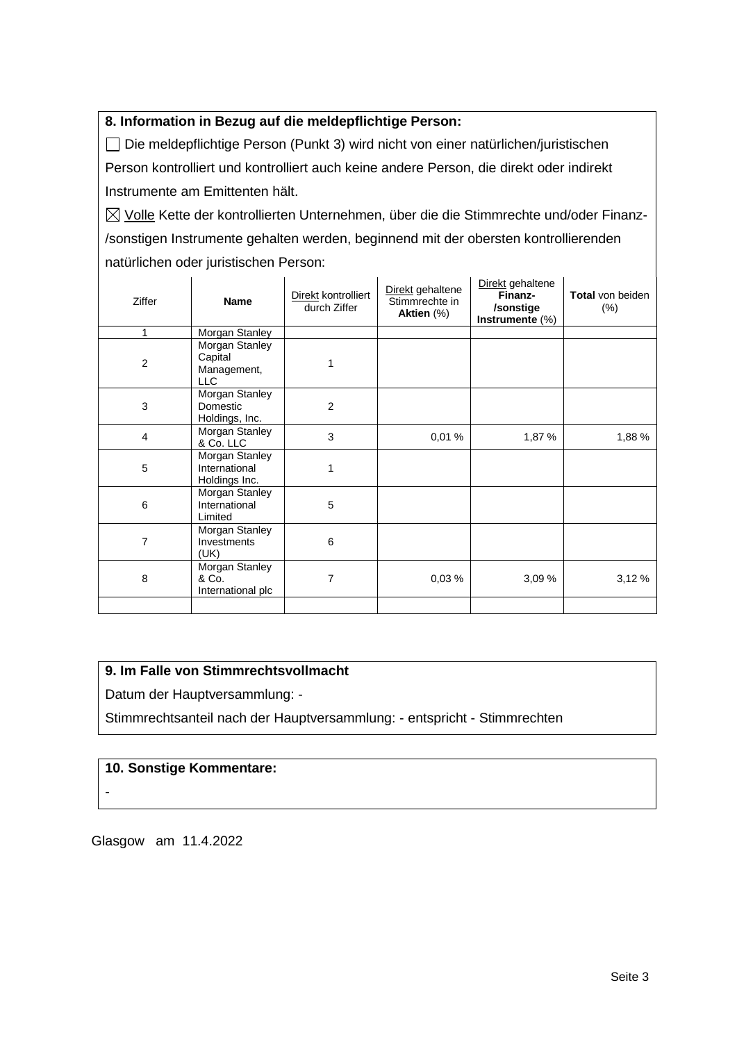## **8. Information in Bezug auf die meldepflichtige Person:**

Die meldepflichtige Person (Punkt 3) wird nicht von einer natürlichen/juristischen Person kontrolliert und kontrolliert auch keine andere Person, die direkt oder indirekt Instrumente am Emittenten hält.

 $\boxtimes$  Volle Kette der kontrollierten Unternehmen, über die die Stimmrechte und/oder Finanz-/sonstigen Instrumente gehalten werden, beginnend mit der obersten kontrollierenden natürlichen oder juristischen Person:

| <b>Ziffer</b>  | <b>Name</b>                                            | Direkt kontrolliert<br>durch Ziffer | Direkt gehaltene<br>Stimmrechte in<br>Aktien (%) | Direkt gehaltene<br>Finanz-<br>/sonstige<br>Instrumente (%) | <b>Total</b> von beiden<br>$(\% )$ |
|----------------|--------------------------------------------------------|-------------------------------------|--------------------------------------------------|-------------------------------------------------------------|------------------------------------|
| 1              | Morgan Stanley                                         |                                     |                                                  |                                                             |                                    |
| $\overline{2}$ | Morgan Stanley<br>Capital<br>Management,<br><b>LLC</b> |                                     |                                                  |                                                             |                                    |
| 3              | Morgan Stanley<br>Domestic<br>Holdings, Inc.           | $\overline{2}$                      |                                                  |                                                             |                                    |
| 4              | Morgan Stanley<br>& Co. LLC                            | 3                                   | 0,01%                                            | 1,87 %                                                      | 1,88 %                             |
| 5              | Morgan Stanley<br>International<br>Holdings Inc.       | 1                                   |                                                  |                                                             |                                    |
| 6              | Morgan Stanley<br>International<br>Limited             | 5                                   |                                                  |                                                             |                                    |
| $\overline{7}$ | Morgan Stanley<br>Investments<br>(UK)                  | 6                                   |                                                  |                                                             |                                    |
| 8              | Morgan Stanley<br>& Co.<br>International plc           | 7                                   | 0,03%                                            | 3,09%                                                       | 3,12 %                             |
|                |                                                        |                                     |                                                  |                                                             |                                    |

### **9. Im Falle von Stimmrechtsvollmacht**

Datum der Hauptversammlung: -

Stimmrechtsanteil nach der Hauptversammlung: - entspricht - Stimmrechten

#### **10. Sonstige Kommentare:**

-

Glasgow am 11.4.2022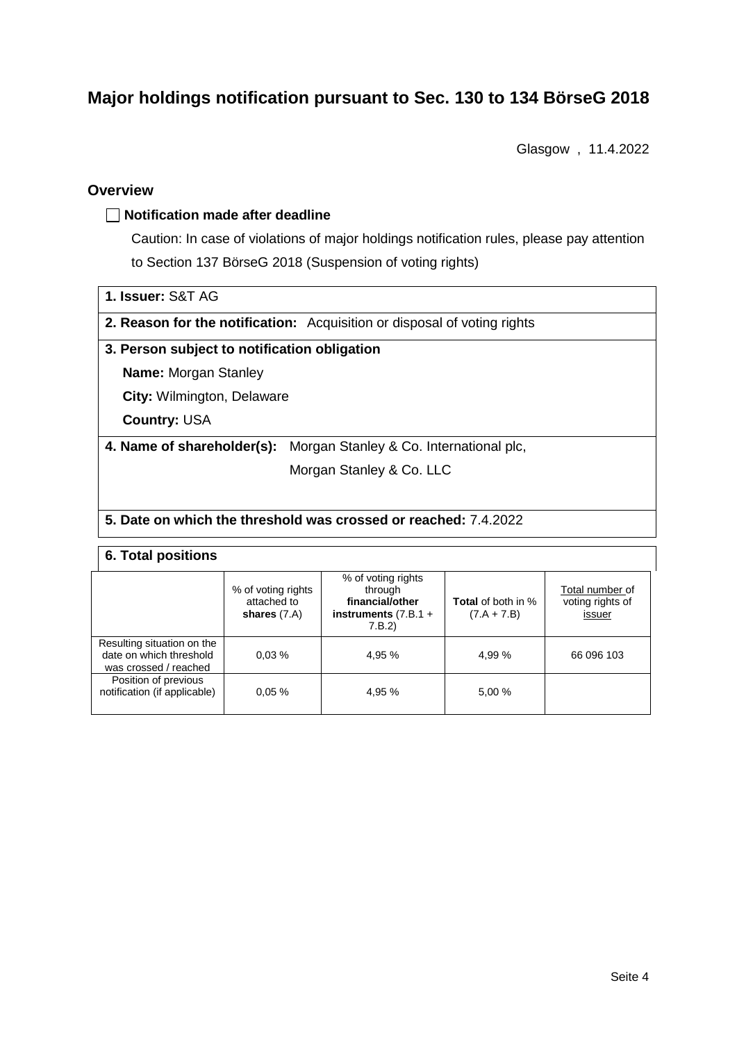# **Major holdings notification pursuant to Sec. 130 to 134 BörseG 2018**

Glasgow , 11.4.2022

## **Overview**

### **Notification made after deadline**

Caution: In case of violations of major holdings notification rules, please pay attention to Section 137 BörseG 2018 (Suspension of voting rights)

|  |  | 1. Issuer: S&T AG |  |  |
|--|--|-------------------|--|--|
|--|--|-------------------|--|--|

**2. Reason for the notification:** Acquisition or disposal of voting rights

#### **3. Person subject to notification obligation**

**Name:** Morgan Stanley

**City:** Wilmington, Delaware

**Country:** USA

**4. Name of shareholder(s):** Morgan Stanley & Co. International plc,

Morgan Stanley & Co. LLC

#### **5. Date on which the threshold was crossed or reached:** 7.4.2022

#### **6. Total positions**

|                                                                                | % of voting rights<br>attached to<br>shares $(7.A)$ | % of voting rights<br>through<br>financial/other<br>instruments $(7.B.1 +$<br>7.B.2) | <b>Total</b> of both in %<br>$(7.A + 7.B)$ | Total number of<br>voting rights of<br>issuer |
|--------------------------------------------------------------------------------|-----------------------------------------------------|--------------------------------------------------------------------------------------|--------------------------------------------|-----------------------------------------------|
| Resulting situation on the<br>date on which threshold<br>was crossed / reached | 0.03%                                               | 4.95 %                                                                               | 4.99 %                                     | 66 096 103                                    |
| Position of previous<br>notification (if applicable)                           | 0.05%                                               | 4.95 %                                                                               | 5.00 %                                     |                                               |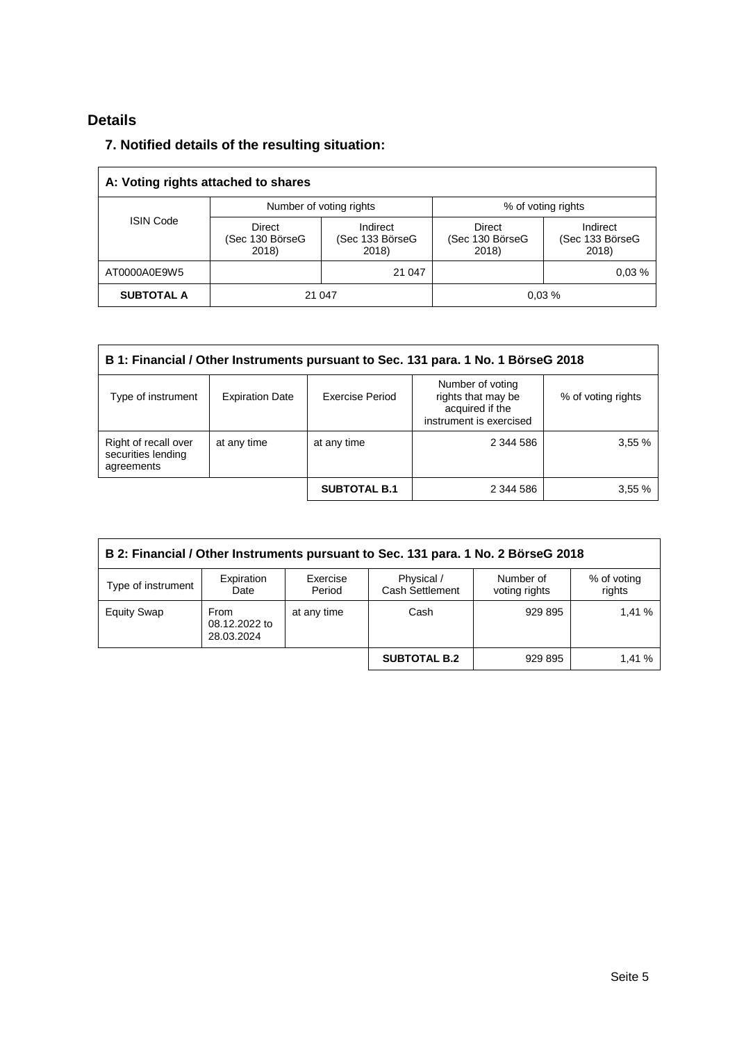# **Details**

## **7. Notified details of the resulting situation:**

| A: Voting rights attached to shares |                                    |                                      |                                    |                                      |  |
|-------------------------------------|------------------------------------|--------------------------------------|------------------------------------|--------------------------------------|--|
|                                     |                                    | Number of voting rights              | % of voting rights                 |                                      |  |
| <b>ISIN Code</b>                    | Direct<br>(Sec 130 BörseG<br>2018) | Indirect<br>(Sec 133 BörseG<br>2018) | Direct<br>(Sec 130 BörseG<br>2018) | Indirect<br>(Sec 133 BörseG<br>2018) |  |
| AT0000A0E9W5                        |                                    | 21 047                               |                                    | 0.03%                                |  |
| <b>SUBTOTAL A</b>                   | 21 047                             |                                      |                                    | 0.03%                                |  |

| B 1: Financial / Other Instruments pursuant to Sec. 131 para. 1 No. 1 BörseG 2018 |                        |                     |                                                                                      |                    |  |  |
|-----------------------------------------------------------------------------------|------------------------|---------------------|--------------------------------------------------------------------------------------|--------------------|--|--|
| Type of instrument                                                                | <b>Expiration Date</b> | Exercise Period     | Number of voting<br>rights that may be<br>acquired if the<br>instrument is exercised | % of voting rights |  |  |
| Right of recall over<br>securities lending<br>agreements                          | at any time            | at any time         | 2 344 586                                                                            | 3,55%              |  |  |
|                                                                                   |                        | <b>SUBTOTAL B.1</b> | 2 344 586                                                                            | 3,55%              |  |  |

| B 2: Financial / Other Instruments pursuant to Sec. 131 para. 1 No. 2 BörseG 2018                                                                      |                                            |             |                     |         |       |  |
|--------------------------------------------------------------------------------------------------------------------------------------------------------|--------------------------------------------|-------------|---------------------|---------|-------|--|
| Expiration<br>Exercise<br>Physical /<br>Number of<br>% of voting<br>Type of instrument<br>Cash Settlement<br>voting rights<br>rights<br>Period<br>Date |                                            |             |                     |         |       |  |
| <b>Equity Swap</b>                                                                                                                                     | <b>From</b><br>08.12.2022 to<br>28.03.2024 | at any time | Cash                | 929 895 | 1.41% |  |
|                                                                                                                                                        |                                            |             | <b>SUBTOTAL B.2</b> | 929 895 | 1.41% |  |